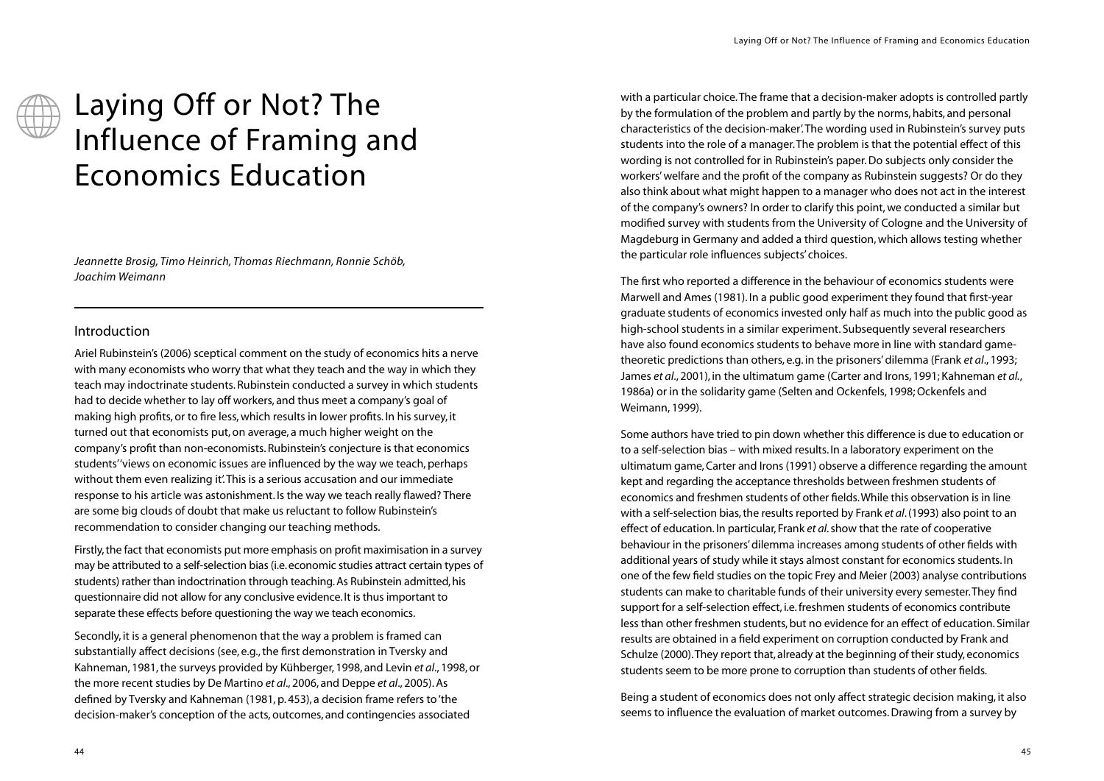# Laying Off or Not? The Influence of Framing and Economics Education

*Jeannette Brosig, Timo Heinrich, Thomas Riechmann, Ronnie Schöb, Joachim Weimann*

# Introduction

Ariel Rubinstein's (2006) sceptical comment on the study of economics hits a nerve with many economists who worry that what they teach and the way in which they teach may indoctrinate students. Rubinstein conducted a survey in which students had to decide whether to lay off workers, and thus meet a company's goal of making high profits, or to fire less, which results in lower profits. In his survey, it turned out that economists put, on average, a much higher weight on the company's profit than non-economists. Rubinstein's conjecture is that economics students''views on economic issues are influenced by the way we teach, perhaps without them even realizing it'.This is a serious accusation and our immediate response to his article was astonishment. Is the way we teach really flawed? There are some big clouds of doubt that make us reluctant to follow Rubinstein's recommendation to consider changing our teaching methods.

Firstly, the fact that economists put more emphasis on profit maximisation in a survey may be attributed to a self-selection bias (i.e. economic studies attract certain types of students) rather than indoctrination through teaching. As Rubinstein admitted, his questionnaire did not allow for any conclusive evidence. It is thus important to separate these effects before questioning the way we teach economics.

Secondly, it is a general phenomenon that the way a problem is framed can substantially affect decisions (see, e.g., the first demonstration in Tversky and Kahneman, 1981, the surveys provided by Kühberger, 1998, and Levin *et al*., 1998, or the more recent studies by De Martino *et al*., 2006, and Deppe *et al*., 2005). As defined by Tversky and Kahneman (1981, p. 453), a decision frame refers to 'the decision-maker's conception of the acts, outcomes, and contingencies associated

with a particular choice.The frame that a decision-maker adopts is controlled partly by the formulation of the problem and partly by the norms, habits, and personal characteristics of the decision-maker'.The wording used in Rubinstein's survey puts students into the role of a manager.The problem is that the potential effect of this wording is not controlled for in Rubinstein's paper. Do subjects only consider the workers' welfare and the profit of the company as Rubinstein suggests? Or do they also think about what might happen to a manager who does not act in the interest of the company's owners? In order to clarify this point, we conducted a similar but modified survey with students from the University of Cologne and the University of Magdeburg in Germany and added a third question, which allows testing whether the particular role influences subjects' choices.

The first who reported a difference in the behaviour of economics students were Marwell and Ames (1981). In a public good experiment they found that first-year graduate students of economics invested only half as much into the public good as high-school students in a similar experiment. Subsequently several researchers have also found economics students to behave more in line with standard gametheoretic predictions than others, e.g. in the prisoners' dilemma (Frank *et al*., 1993; James *et al*., 2001), in the ultimatum game (Carter and Irons, 1991; Kahneman *et al.*, 1986a) or in the solidarity game (Selten and Ockenfels, 1998; Ockenfels and Weimann, 1999).

Some authors have tried to pin down whether this difference is due to education or to a self-selection bias – with mixed results. In a laboratory experiment on the ultimatum game, Carter and Irons (1991) observe a difference regarding the amount kept and regarding the acceptance thresholds between freshmen students of economics and freshmen students of other fields.While this observation is in line with a self-selection bias, the results reported by Frank *et al*. (1993) also point to an effect of education. In particular, Frank *et al*. show that the rate of cooperative behaviour in the prisoners' dilemma increases among students of other fields with additional years of study while it stays almost constant for economics students. In one of the few field studies on the topic Frey and Meier (2003) analyse contributions students can make to charitable funds of their university every semester.They find support for a self-selection effect, i.e. freshmen students of economics contribute less than other freshmen students, but no evidence for an effect of education. Similar results are obtained in a field experiment on corruption conducted by Frank and Schulze (2000).They report that, already at the beginning of their study, economics students seem to be more prone to corruption than students of other fields.

Being a student of economics does not only affect strategic decision making, it also seems to influence the evaluation of market outcomes. Drawing from a survey by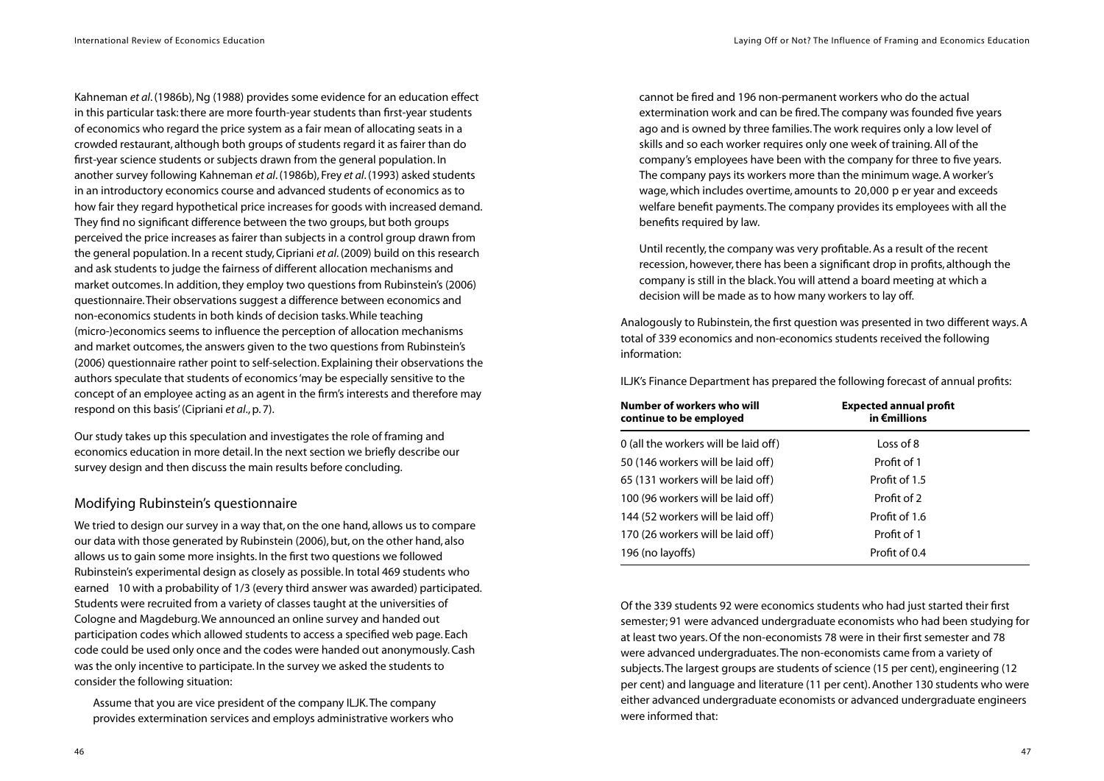Kahneman *et al*. (1986b), Ng (1988) provides some evidence for an education effect in this particular task: there are more fourth-year students than first-year students of economics who regard the price system as a fair mean of allocating seats in a crowded restaurant, although both groups of students regard it as fairer than do first-year science students or subjects drawn from the general population. In another survey following Kahneman *et al*. (1986b), Frey *et al*. (1993) asked students in an introductory economics course and advanced students of economics as to how fair they regard hypothetical price increases for goods with increased demand. They find no significant difference between the two groups, but both groups perceived the price increases as fairer than subjects in a control group drawn from the general population. In a recent study, Cipriani *et al*.(2009) build on this research and ask students to judge the fairness of different allocation mechanisms and market outcomes. In addition, they employ two questions from Rubinstein's (2006) questionnaire.Their observations suggest a difference between economics and non-economics students in both kinds of decision tasks.While teaching (micro-)economics seems to influence the perception of allocation mechanisms and market outcomes, the answers given to the two questions from Rubinstein's (2006) questionnaire rather point to self-selection. Explaining their observations the authors speculate that students of economics 'may be especially sensitive to the concept of an employee acting as an agent in the firm's interests and therefore may respond on this basis' (Cipriani *et al*., p. 7).

Our study takes up this speculation and investigates the role of framing and economics education in more detail. In the next section we briefly describe our survey design and then discuss the main results before concluding.

# Modifying Rubinstein's questionnaire

We tried to design our survey in a way that, on the one hand, allows us to compare our data with those generated by Rubinstein (2006), but, on the other hand, also allows us to gain some more insights. In the first two questions we followed Rubinstein's experimental design as closely as possible. In total 469 students who earned 10 with a probability of 1/3 (every third answer was awarded) participated. Students were recruited from a variety of classes taught at the universities of Cologne and Magdeburg.We announced an online survey and handed out participation codes which allowed students to access a specified web page. Each code could be used only once and the codes were handed out anonymously. Cash was the only incentive to participate. In the survey we asked the students to consider the following situation:

Assume that you are vice president of the company ILJK.The company provides extermination services and employs administrative workers who cannot be fired and 196 non-permanent workers who do the actual extermination work and can be fired.The company was founded five years ago and is owned by three families.The work requires only a low level of skills and so each worker requires only one week of training. All of the company's employees have been with the company for three to five years. The company pays its workers more than the minimum wage. A worker's wage, which includes overtime, amounts to 20,000 p er year and exceeds welfare benefit payments.The company provides its employees with all the benefits required by law.

Until recently, the company was very profitable. As a result of the recent recession, however, there has been a significant drop in profits, although the company is still in the black.You will attend a board meeting at which a decision will be made as to how many workers to lay off.

Analogously to Rubinstein, the first question was presented in two different ways. A total of 339 economics and non-economics students received the following information:

ILJK's Finance Department has prepared the following forecast of annual profits:

| Number of workers who will<br>continue to be employed | <b>Expected annual profit</b><br>in $\epsilon$ millions |  |
|-------------------------------------------------------|---------------------------------------------------------|--|
| 0 (all the workers will be laid off)                  | $loss$ of $8$                                           |  |
| 50 (146 workers will be laid off)                     | Profit of 1                                             |  |
| 65 (131 workers will be laid off)                     | Profit of 1.5                                           |  |
| 100 (96 workers will be laid off)                     | Profit of 2                                             |  |
| 144 (52 workers will be laid off)                     | Profit of 1.6                                           |  |
| 170 (26 workers will be laid off)                     | Profit of 1                                             |  |
| 196 (no layoffs)                                      | Profit of 0.4                                           |  |

Of the 339 students 92 were economics students who had just started their first semester; 91 were advanced undergraduate economists who had been studying for at least two years. Of the non-economists 78 were in their first semester and 78 were advanced undergraduates.The non-economists came from a variety of subjects.The largest groups are students of science (15 per cent), engineering (12 per cent) and language and literature (11 per cent). Another 130 students who were either advanced undergraduate economists or advanced undergraduate engineers were informed that: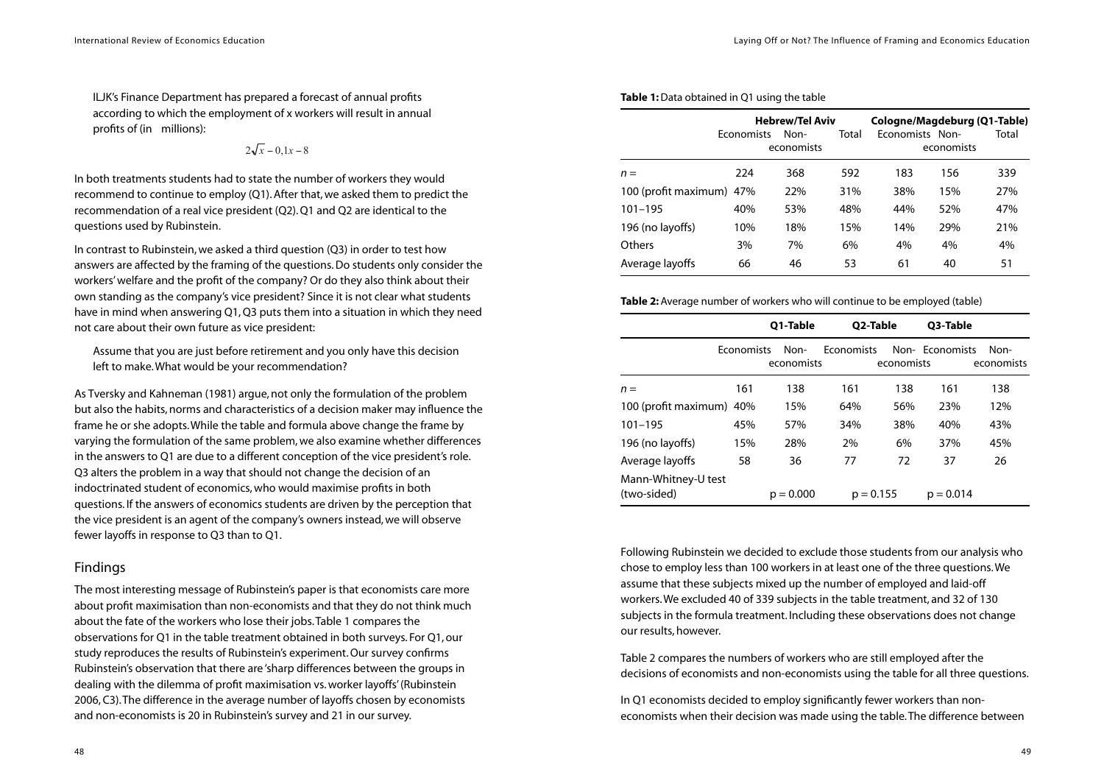ILJK's Finance Department has prepared a forecast of annual profits according to which the employment of x workers will result in annual profits of (in millions):

$$
2\sqrt{x} - 0, 1x - 8
$$

In both treatments students had to state the number of workers they would recommend to continue to employ (Q1). After that, we asked them to predict the recommendation of a real vice president (Q2). Q1 and Q2 are identical to the questions used by Rubinstein.

In contrast to Rubinstein, we asked a third question (Q3) in order to test how answers are affected by the framing of the questions. Do students only consider the workers' welfare and the profit of the company? Or do they also think about their own standing as the company's vice president? Since it is not clear what students have in mind when answering Q1, Q3 puts them into a situation in which they need not care about their own future as vice president:

Assume that you are just before retirement and you only have this decision left to make.What would be your recommendation?

As Tversky and Kahneman (1981) argue, not only the formulation of the problem but also the habits, norms and characteristics of a decision maker may influence the frame he or she adopts.While the table and formula above change the frame by varying the formulation of the same problem, we also examine whether differences in the answers to Q1 are due to a different conception of the vice president's role. Q3 alters the problem in a way that should not change the decision of an indoctrinated student of economics, who would maximise profits in both questions. If the answers of economics students are driven by the perception that the vice president is an agent of the company's owners instead, we will observe fewer layoffs in response to Q3 than to Q1.

# Findings

The most interesting message of Rubinstein's paper is that economists care more about profit maximisation than non-economists and that they do not think much about the fate of the workers who lose their jobs.Table 1 compares the observations for Q1 in the table treatment obtained in both surveys. For Q1, our study reproduces the results of Rubinstein's experiment. Our survey confirms Rubinstein's observation that there are 'sharp differences between the groups in dealing with the dilemma of profit maximisation vs. worker layoffs' (Rubinstein 2006, C3).The difference in the average number of layoffs chosen by economists and non-economists is 20 in Rubinstein's survey and 21 in our survey.

#### **Table 1:**Data obtained in Q1 using the table

|                          | <b>Fronomists</b> | <b>Hebrew/Tel Aviv</b><br>Non-<br>economists | Total | Cologne/Magdeburg (Q1-Table)<br>Fronomists Non- | economists | Total |
|--------------------------|-------------------|----------------------------------------------|-------|-------------------------------------------------|------------|-------|
| $n =$                    | 224               | 368                                          | 592   | 183                                             | 156        | 339   |
| 100 (profit maximum) 47% |                   | 22%                                          | 31%   | 38%                                             | 15%        | 27%   |
| $101 - 195$              | 40%               | 53%                                          | 48%   | 44%                                             | 52%        | 47%   |
| 196 (no layoffs)         | 10%               | 18%                                          | 15%   | 14%                                             | 29%        | 21%   |
| Others                   | 3%                | 7%                                           | 6%    | 4%                                              | 4%         | 4%    |
| Average layoffs          | 66                | 46                                           | 53    | 61                                              | 40         | 51    |

| Table 2: Average number of workers who will continue to be employed (table) |  |  |  |
|-----------------------------------------------------------------------------|--|--|--|
|-----------------------------------------------------------------------------|--|--|--|

|                                    |            | Q1-Table           | Q2-Table    |            | Q3-Table       |                    |
|------------------------------------|------------|--------------------|-------------|------------|----------------|--------------------|
|                                    | Economists | Non-<br>economists | Economists  | economists | Non-Fronomists | Non-<br>economists |
| $n =$                              | 161        | 138                | 161         | 138        | 161            | 138                |
| 100 (profit maximum) 40%           |            | 15%                | 64%         | 56%        | 23%            | 12%                |
| $101 - 195$                        | 45%        | 57%                | 34%         | 38%        | 40%            | 43%                |
| 196 (no layoffs)                   | 15%        | 28%                | 2%          | 6%         | 37%            | 45%                |
| Average layoffs                    | 58         | 36                 | 77          | 72         | 37             | 26                 |
| Mann-Whitney-U test<br>(two-sided) |            | $p = 0.000$        | $p = 0.155$ |            | $p = 0.014$    |                    |

Following Rubinstein we decided to exclude those students from our analysis who chose to employ less than 100 workers in at least one of the three questions.We assume that these subjects mixed up the number of employed and laid-off workers.We excluded 40 of 339 subjects in the table treatment, and 32 of 130 subjects in the formula treatment. Including these observations does not change our results, however.

Table 2 compares the numbers of workers who are still employed after the decisions of economists and non-economists using the table for all three questions.

In Q1 economists decided to employ significantly fewer workers than noneconomists when their decision was made using the table.The difference between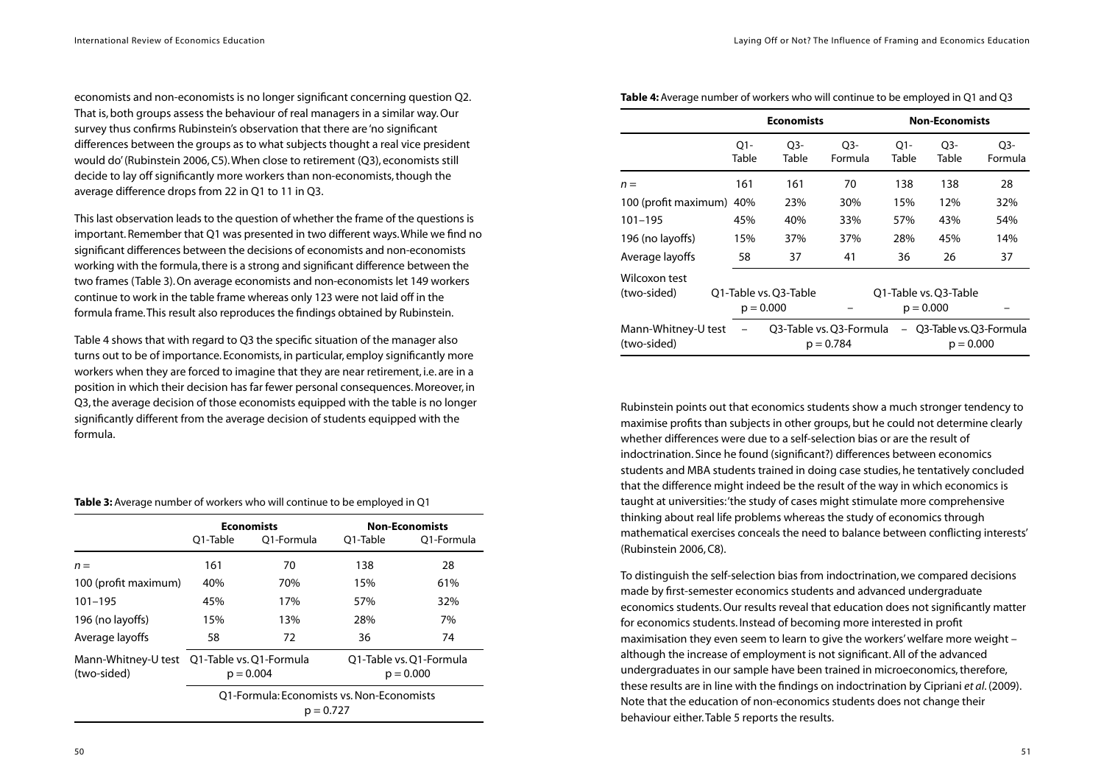economists and non-economists is no longer significant concerning question Q2. That is, both groups assess the behaviour of real managers in a similar way. Our survey thus confirms Rubinstein's observation that there are 'no significant differences between the groups as to what subjects thought a real vice president would do' (Rubinstein 2006, C5).When close to retirement (Q3), economists still decide to lay off significantly more workers than non-economists, though the average difference drops from 22 in Q1 to 11 in Q3.

This last observation leads to the question of whether the frame of the questions is important. Remember that Q1 was presented in two different ways.While we find no significant differences between the decisions of economists and non-economists working with the formula, there is a strong and significant difference between the two frames (Table 3). On average economists and non-economists let 149 workers continue to work in the table frame whereas only 123 were not laid off in the formula frame.This result also reproduces the findings obtained by Rubinstein.

Table 4 shows that with regard to Q3 the specific situation of the manager also turns out to be of importance. Economists, in particular, employ significantly more workers when they are forced to imagine that they are near retirement, i.e. are in a position in which their decision has far fewer personal consequences. Moreover, in Q3,the average decision of those economists equipped with the table is no longer significantly different from the average decision of students equipped with the formula.

**Table 3:** Average number of workers who will continue to be employed in Q1

|                                                            |                                                          | <b>Economists</b> |                                        | <b>Non-Economists</b> |  |
|------------------------------------------------------------|----------------------------------------------------------|-------------------|----------------------------------------|-----------------------|--|
|                                                            | O1-Formula<br>O1-Table                                   |                   | O1-Table                               | O1-Formula            |  |
| $n =$                                                      | 161                                                      | 70                | 138                                    | 28                    |  |
| 100 (profit maximum)                                       | 40%                                                      | 70%               | 15%                                    | 61%                   |  |
| $101 - 195$                                                | 45%                                                      | 17%               | 57%                                    | 32%                   |  |
| 196 (no layoffs)                                           | 15%                                                      | 13%               | 28%                                    | 7%                    |  |
| Average layoffs                                            | 58                                                       | 72                | 36                                     | 74                    |  |
| Mann-Whitney-U test Q1-Table vs. Q1-Formula<br>(two-sided) |                                                          | $p = 0.004$       | Q1-Table vs. Q1-Formula<br>$p = 0.000$ |                       |  |
|                                                            | Q1-Formula: Economists vs. Non-Economists<br>$p = 0.727$ |                   |                                        |                       |  |

50

**Table 4:** Average number of workers who will continue to be employed in Q1 and Q3

|                                    | <b>Economists</b> |                       |                                        |                | <b>Non-Economists</b>                 |                |  |
|------------------------------------|-------------------|-----------------------|----------------------------------------|----------------|---------------------------------------|----------------|--|
|                                    | $O1-$<br>Table    | O3-<br>Table          | $O3-$<br>Formula                       | $O1-$<br>Table | O3-<br>Table                          | O3-<br>Formula |  |
| $n =$                              | 161               | 161                   | 70                                     | 138            | 138                                   | 28             |  |
| 100 (profit maximum) 40%           |                   | 23%                   | 30%                                    | 15%            | 12%                                   | 32%            |  |
| $101 - 195$                        | 45%               | 40%                   | 33%                                    | 57%            | 43%                                   | 54%            |  |
| 196 (no layoffs)                   | 15%               | 37%                   | 37%                                    | 28%            | 45%                                   | 14%            |  |
| Average layoffs                    | 58                | 37                    | 41                                     | 36             | 26                                    | 37             |  |
| Wilcoxon test<br>(two-sided)       | $p = 0.000$       | Q1-Table vs. Q3-Table |                                        | $p = 0.000$    | 01-Table vs. 03-Table                 |                |  |
| Mann-Whitney-U test<br>(two-sided) |                   |                       | Q3-Table vs. Q3-Formula<br>$p = 0.784$ |                | Q3-Table vs.Q3-Formula<br>$p = 0.000$ |                |  |

Rubinstein points out that economics students show a much stronger tendency to maximise profits than subjects in other groups, but he could not determine clearly whether differences were due to a self-selection bias or are the result of indoctrination. Since he found (significant?) differences between economics students and MBA students trained in doing case studies, he tentatively concluded that the difference might indeed be the result of the way in which economics is taught at universities:'the study of cases might stimulate more comprehensive thinking about real life problems whereas the study of economics through mathematical exercises conceals the need to balance between conflicting interests' (Rubinstein 2006, C8).

To distinguish the self-selection bias from indoctrination, we compared decisions made by first-semester economics students and advanced undergraduate economics students. Our results reveal that education does not significantly matter for economics students. Instead of becoming more interested in profit maximisation they even seem to learn to give the workers' welfare more weight – although the increase of employment is not significant. All of the advanced undergraduates in our sample have been trained in microeconomics, therefore, these results are in line with the findings on indoctrination by Cipriani *et al*.(2009). Note that the education of non-economics students does not change their behaviour either.Table 5 reports the results.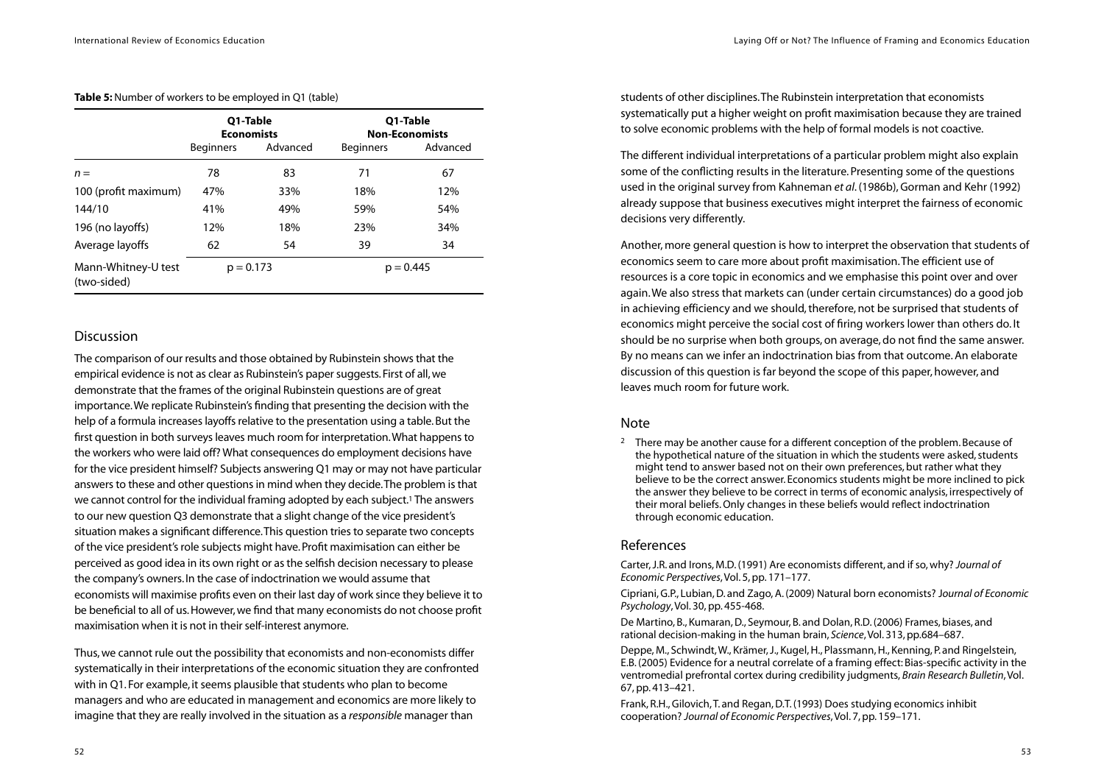### **Table 5:**Number of workers to be employed in Q1 (table)

|                                    | Q1-Table<br><b>Economists</b> |          | Q1-Table<br><b>Non-Economists</b> |             |  |
|------------------------------------|-------------------------------|----------|-----------------------------------|-------------|--|
|                                    | <b>Beginners</b>              | Advanced | <b>Beginners</b>                  | Advanced    |  |
| $n =$                              | 78                            | 83       | 71                                | 67          |  |
| 100 (profit maximum)               | 47%                           | 33%      | 18%                               | 12%         |  |
| 144/10                             | 41%                           | 49%      | 59%                               | 54%         |  |
| 196 (no layoffs)                   | 12%                           | 18%      | 23%                               | 34%         |  |
| Average layoffs                    | 62                            | 54       | 39                                | 34          |  |
| Mann-Whitney-U test<br>(two-sided) | $p = 0.173$                   |          |                                   | $p = 0.445$ |  |

# **Discussion**

The comparison of our results and those obtained by Rubinstein shows that the empirical evidence is not as clear as Rubinstein's paper suggests. First of all, we demonstrate that the frames of the original Rubinstein questions are of great importance.We replicate Rubinstein's finding that presenting the decision with the help of a formula increases layoffs relative to the presentation using a table. But the first question in both surveys leaves much room for interpretation. What happens to the workers who were laid off? What consequences do employment decisions have for the vice president himself? Subjects answering Q1 may or may not have particular answers to these and other questions in mind when they decide.The problem is that we cannot control for the individual framing adopted by each subject.1 The answers to our new question Q3 demonstrate that a slight change of the vice president's situation makes a significant difference.This question tries to separate two concepts of the vice president's role subjects might have. Profit maximisation can either be perceived as good idea in its own right or as the selfish decision necessary to please the company's owners. In the case of indoctrination we would assume that economists will maximise profits even on their last day of work since they believe it to be beneficial to all of us. However, we find that many economists do not choose profit maximisation when it is not in their self-interest anymore.

Thus, we cannot rule out the possibility that economists and non-economists differ systematically in their interpretations of the economic situation they are confronted with in Q1. For example, it seems plausible that students who plan to become managers and who are educated in management and economics are more likely to imagine that they are really involved in the situation as a *responsible* manager than

students of other disciplines.The Rubinstein interpretation that economists systematically put a higher weight on profit maximisation because they are trained to solve economic problems with the help of formal models is not coactive.

The different individual interpretations of a particular problem might also explain some of the conflicting results in the literature. Presenting some of the questions used in the original survey from Kahneman *et al*. (1986b), Gorman and Kehr (1992) already suppose that business executives might interpret the fairness of economic decisions very differently.

Another, more general question is how to interpret the observation that students of economics seem to care more about profit maximisation.The efficient use of resources is a core topic in economics and we emphasise this point over and over again.We also stress that markets can (under certain circumstances) do a good job in achieving efficiency and we should, therefore, not be surprised that students of economics might perceive the social cost of firing workers lower than others do. It should be no surprise when both groups, on average, do not find the same answer. By no means can we infer an indoctrination bias from that outcome. An elaborate discussion of this question is far beyond the scope of this paper, however, and leaves much room for future work.

## Note

<sup>2</sup> There may be another cause for a different conception of the problem. Because of the hypothetical nature of the situation in which the students were asked, students might tend to answer based not on their own preferences, but rather what they believe to be the correct answer. Economics students might be more inclined to pick the answer they believe to be correct in terms of economic analysis, irrespectively of their moral beliefs. Only changes in these beliefs would reflect indoctrination through economic education.

# References

Carter, J.R. and Irons, M.D. (1991) Are economists different, and if so, why? *Journal of Economic Perspectives*, Vol. 5, pp. 171–177.

Cipriani, G.P., Lubian, D. and Zago, A. (2009) Natural born economists? J*ournal of Economic Psychology*,Vol. 30, pp. 455-468.

De Martino, B., Kumaran, D., Seymour, B. and Dolan, R.D. (2006) Frames, biases, and rational decision-making in the human brain, *Science*,Vol. 313, pp.684–687.

Deppe, M., Schwindt, W., Krämer, J., Kugel, H., Plassmann, H., Kenning, P. and Ringelstein, E.B. (2005) Evidence for a neutral correlate of a framing effect: Bias-specific activity in the ventromedial prefrontal cortex during credibility judgments, *Brain Research Bulletin*, Vol. 67, pp. 413–421.

Frank, R.H., Gilovich,T. and Regan, D.T. (1993) Does studying economics inhibit cooperation? *Journal of Economic Perspectives*, Vol. 7, pp. 159–171.